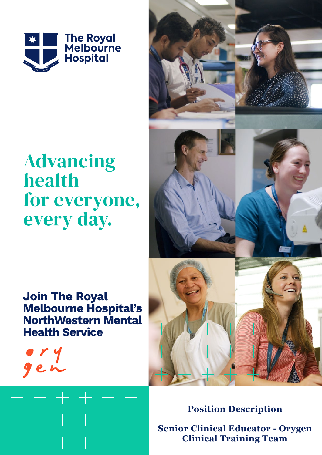

# **Advancing** health for everyone, every day.

# **Join The Royal Melbourne Hospital's NorthWestern Mental Health Service**







**Position Description Senior Clinical Educator - Orygen Clinical Training Team**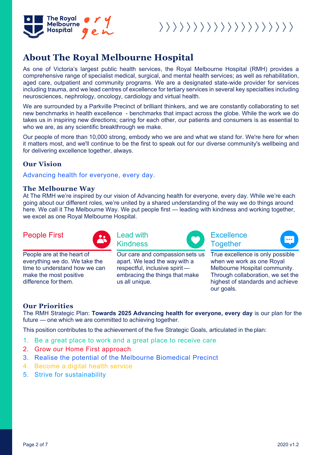

 $\rangle \rangle \rangle \rangle \rangle \rangle \rangle \rangle \rangle \rangle \rangle \rangle \rangle \rangle \rangle \rangle \rangle \rangle \rangle$ 

## **About The Royal Melbourne Hospital**

As one of Victoria's largest public health services, the Royal Melbourne Hospital (RMH) provides a comprehensive range of specialist medical, surgical, and mental health services; as well as rehabilitation, aged care, outpatient and community programs. We are a designated state-wide provider for services including trauma, and we lead centres of excellence for tertiary services in several key specialties including neurosciences, nephrology, oncology, cardiology and virtual health.

We are surrounded by a Parkville Precinct of brilliant thinkers, and we are constantly collaborating to set new benchmarks in health excellence - benchmarks that impact across the globe. While the work we do takes us in inspiring new directions; caring for each other, our patients and consumers is as essential to who we are, as any scientific breakthrough we make.

Our people of more than 10,000 strong, embody who we are and what we stand for. We're here for when it matters most, and we'll continue to be the first to speak out for our diverse community's wellbeing and for delivering excellence together, always.

### **Our Vision**

Advancing health for everyone, every day.

### **The Melbourne Way**

At The RMH we're inspired by our vision of Advancing health for everyone, every day. While we're each going about our different roles, we're united by a shared understanding of the way we do things around here. We call it The Melbourne Way. We put people first — leading with kindness and working together, we excel as one Royal Melbourne Hospital.

> apart. We lead the way with a respectful, inclusive spirit embracing the things that make

### People First **Lead with**



People are at the heart of everything we do. We take the time to understand how we can make the most positive difference forthem.

Kindness Our care and compassion sets us

us all unique.







True excellence is only possible when we work as one Royal Melbourne Hospital community. Through collaboration, we set the highest of standards and achieve our goals.

### **Our Priorities**

The RMH Strategic Plan: **Towards 2025 Advancing health for everyone, every day** is our plan for the future — one which we are committed to achieving together.

This position contributes to the achievement of the five Strategic Goals, articulated in the plan:

- 1. Be a great place to work and a great place to receive care
- 2. Grow our Home First approach
- 3. Realise the potential of the Melbourne Biomedical Precinct
- 4. Become a digital health service
- 5. Strive for sustainability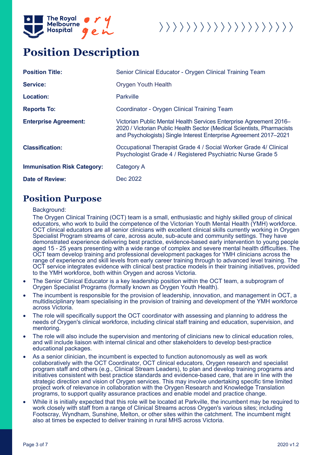

# 

## **Position Description**

| <b>Position Title:</b>             | Senior Clinical Educator - Orygen Clinical Training Team                                                                                                                                                          |
|------------------------------------|-------------------------------------------------------------------------------------------------------------------------------------------------------------------------------------------------------------------|
| <b>Service:</b>                    | <b>Orygen Youth Health</b>                                                                                                                                                                                        |
| <b>Location:</b>                   | <b>Parkville</b>                                                                                                                                                                                                  |
| <b>Reports To:</b>                 | Coordinator - Orygen Clinical Training Team                                                                                                                                                                       |
| <b>Enterprise Agreement:</b>       | Victorian Public Mental Health Services Enterprise Agreement 2016–<br>2020 / Victorian Public Health Sector (Medical Scientists, Pharmacists<br>and Psychologists) Single Interest Enterprise Agreement 2017-2021 |
| <b>Classification:</b>             | Occupational Therapist Grade 4 / Social Worker Grade 4 / Clinical<br>Psychologist Grade 4 / Registered Psychiatric Nurse Grade 5                                                                                  |
| <b>Immunisation Risk Category:</b> | Category A                                                                                                                                                                                                        |
| <b>Date of Review:</b>             | Dec 2022                                                                                                                                                                                                          |

### **Position Purpose**

### Background:

The Orygen Clinical Training (OCT) team is a small, enthusiastic and highly skilled group of clinical educators, who work to build the competence of the Victorian Youth Mental Health (YMH) workforce. OCT clinical educators are all senior clinicians with excellent clinical skills currently working in Orygen Specialist Program streams of care, across acute, sub-acute and community settings. They have demonstrated experience delivering best practice, evidence-based early intervention to young people aged 15 - 25 years presenting with a wide range of complex and severe mental health difficulties. The OCT team develop training and professional development packages for YMH clinicians across the range of experience and skill levels from early career training through to advanced level training. The OCT service integrates evidence with clinical best practice models in their training initiatives, provided to the YMH workforce, both within Orygen and across Victoria.

- The Senior Clinical Educator is a key leadership position within the OCT team, a subprogram of Orygen Specialist Programs (formally known as Orygen Youth Health).
- The incumbent is responsible for the provision of leadership, innovation, and management in OCT, a multidisciplinary team specialising in the provision of training and development of the YMH workforce across Victoria.
- The role will specifically support the OCT coordinator with assessing and planning to address the needs of Orygen's clinical workforce, including clinical staff training and education, supervision, and mentoring.
- The role will also include the supervision and mentoring of clinicians new to clinical education roles, and will include liaison with internal clinical and other stakeholders to develop best-practice educational packages.
- As a senior clinician, the incumbent is expected to function autonomously as well as work collaboratively with the OCT Coordinator, OCT clinical educators, Orygen research and specialist program staff and others (e.g., Clinical Stream Leaders), to plan and develop training programs and initiatives consistent with best practice standards and evidence-based care, that are in line with the strategic direction and vision of Orygen services. This may involve undertaking specific time limited project work of relevance in collaboration with the Orygen Research and Knowledge Translation programs, to support quality assurance practices and enable model and practice change.
- While it is initially expected that this role will be located at Parkville, the incumbent may be required to work closely with staff from a range of Clinical Streams across Orygen's various sites; including Footscray, Wyndham, Sunshine, Melton, or other sites within the catchment. The incumbent might also at times be expected to deliver training in rural MHS across Victoria.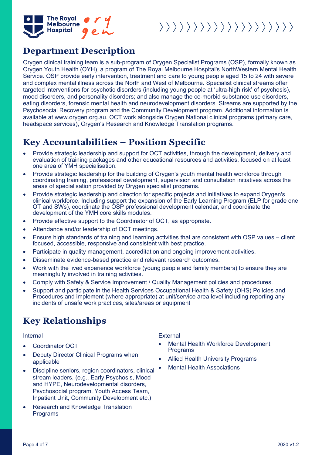

### **Department Description**

Orygen clinical training team is a sub-program of Orygen Specialist Programs (OSP), formally known as Orygen Youth Health (OYH), a program of The Royal Melbourne Hospital's NorthWestern Mental Health Service. OSP provide early intervention, treatment and care to young people aged 15 to 24 with severe and complex mental illness across the North and West of Melbourne. Specialist clinical streams offer targeted interventions for psychotic disorders (including young people at 'ultra-high risk' of psychosis), mood disorders, and personality disorders; and also manage the co-morbid substance use disorders, eating disorders, forensic mental health and neurodevelopment disorders. Streams are supported by the Psychosocial Recovery program and the Community Development program. Additional information is available at [www.orygen.org.au.](http://www.orygen.org.au/) OCT work alongside [Orygen National](https://orygen.org.au/) clinical programs (primary care, headspace services), Orygen's Research and Knowledge Translation programs.

## **Key Accountabilities – Position Specific**

- Provide strategic leadership and support for OCT activities, through the development, delivery and evaluation of training packages and other educational resources and activities, focused on at least one area of YMH specialisation.
- Provide strategic leadership for the building of Orygen's youth mental health workforce through coordinating training, professional development, supervision and consultation initiatives across the areas of specialisation provided by Orygen specialist programs.
- Provide strategic leadership and direction for specific projects and initiatives to expand Orygen's clinical workforce. Including support the expansion of the Early Learning Program (ELP for grade one OT and SWs), coordinate the OSP professional development calendar, and coordinate the development of the YMH core skills modules.
- Provide effective support to the Coordinator of OCT, as appropriate.
- Attendance and/or leadership of OCT meetings.
- Ensure high standards of training and learning activities that are consistent with OSP values client focused, accessible, responsive and consistent with best practice.
- Participate in quality management, accreditation and ongoing improvement activities.
- Disseminate evidence-based practice and relevant research outcomes.
- Work with the lived experience workforce (young people and family members) to ensure they are meaningfully involved in training activities.
- Comply with Safety & Service Improvement / Quality Management policies and procedures.
- Support and participate in the Health Services Occupational Health & Safety (OHS) Policies and Procedures and implement (where appropriate) at unit/service area level including reporting any incidents of unsafe work practices, sites/areas or equipment

## **Key Relationships**

- Coordinator OCT
- Deputy Director Clinical Programs when applicable
- Discipline seniors, region coordinators, clinical stream leaders, (e.g., Early Psychosis, Mood and HYPE, Neurodevelopmental disorders, Psychosocial program, Youth Access Team, Inpatient Unit, Community Development etc.)
- Research and Knowledge Translation Programs

Internal External

- Mental Health Workforce Development Programs
- Allied Health University Programs
- **Mental Health Associations**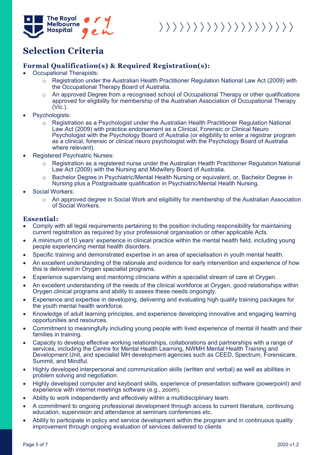

# 

## **Selection Criteria**

### **Formal Qualification(s) & Required Registration(s):**

- Occupational Therapists:
	- o Registration under the Australian Health Practitioner Regulation National Law Act (2009) with the Occupational Therapy Board of Australia.
	- An approved Degree from a recognised school of Occupational Therapy or other qualifications approved for eligibility for membership of the Australian Association of Occupational Therapy (Vic.).
- Psychologists:
	- o Registration as a Psychologist under the Australian Health Practitioner Regulation National Law Act (2009) with practice endorsement as a Clinical, Forensic or Clinical Neuro Psychologist with the Psychology Board of Australia (or eligibility to enter a registrar program as a clinical, forensic or clinical neuro psychologist with the Psychology Board of Australia where relevant).
- Registered Psychiatric Nurses:
	- Registration as a registered nurse under the Australian Health Practitioner Regulation National Law Act (2009) with the Nursing and Midwifery Board of Australia.
	- o Bachelor Degree in Psychiatric/Mental Health Nursing or equivalent, or, Bachelor Degree in Nursing plus a Postgraduate qualification in Psychiatric/Mental Health Nursing.
- Social Workers:
	- $\circ$  An approved degree in Social Work and eligibility for membership of the Australian Association of Social Workers.

### **Essential:**

- Comply with all legal requirements pertaining to the position including responsibility for maintaining current registration as required by your professional organisation or other applicable Acts.
- A minimum of 10 years' experience in clinical practice within the mental health field, including young people experiencing mental health disorders.
- Specific training and demonstrated expertise in an area of specialisation in youth mental health.
- An excellent understanding of the rationale and evidence for early intervention and experience of how this is delivered in Orygen specialist programs.
- Experience supervising and mentoring clinicians within a specialist stream of care at Orygen.
- An excellent understanding of the needs of the clinical workforce at Orvgen, good relationships within Orygen clinical programs and ability to assess these needs ongoingly.
- Experience and expertise in developing, delivering and evaluating high quality training packages for the youth mental health workforce.
- Knowledge of adult learning principles, and experience developing innovative and engaging learning opportunities and resources.
- Commitment to meaningfully including young people with lived experience of mental ill health and their families in training.
- Capacity to develop effective working relationships, collaborations and partnerships with a range of services, including the Centre for Mental Health Learning, NWMH Mental Health Training and Development Unit, and specialist MH development agencies such as CEED, Spectrum, Forensicare, Summit, and Mindful.
- Highly developed interpersonal and communication skills (written and verbal) as well as abilities in problem solving and negotiation.
- Highly developed computer and keyboard skills, experience of presentation software (powerpoint) and experience with internet meetings software (e.g., zoom).
- Ability to work independently and effectively within a multidisciplinary team.
- A commitment to ongoing professional development through access to current literature, continuing education, supervision and attendance at seminars conferences etc.
- Ability to participate in policy and service development within the program and in continuous quality improvement through ongoing evaluation of services delivered to clients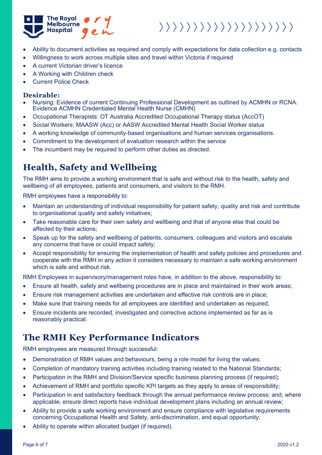

# $\rangle \rangle \rangle \rangle \rangle \rangle \rangle \rangle \rangle \rangle \rangle \rangle \rangle \rangle \rangle \rangle \rangle \rangle \rangle$

- Ability to document activities as required and comply with expectations for data collection e.g. contacts
- Willingness to work across multiple sites and travel within Victoria if required
- A current Victorian driver's licence
- A Working with Children check
- Current Police Check

### **Desirable:**

- Nursing: Evidence of current Continuing Professional Development as outlined by ACMHN or RCNA. Evidence ACMHN Credentialed Mental Health Nurse (CMHN)
- Occupational Therapists: OT Australia Accredited Occupational Therapy status (AccOT)
- Social Workers: MAASW (Acc) or AASW Accredited Mental Health Social Worker status
- A working knowledge of community-based organisations and human services organisations.
- Commitment to the development of evaluation research within the service
- The incumbent may be required to perform other duties as directed.

## **Health, Safety and Wellbeing**

The RMH aims to provide a working environment that is safe and without risk to the health, safety and wellbeing of all employees, patients and consumers, and visitors to the RMH.

RMH employees have a responsibility to:

- Maintain an understanding of individual responsibility for patient safety, quality and risk and contribute to organisational quality and safety initiatives;
- Take reasonable care for their own safety and wellbeing and that of anyone else that could be affected by their actions;
- Speak up for the safety and wellbeing of patients, consumers, colleagues and visitors and escalate any concerns that have or could impact safety;
- Accept responsibility for ensuring the implementation of health and safety policies and procedures and cooperate with the RMH in any action it considers necessary to maintain a safe working environment which is safe and without risk.

RMH Employees in supervisory/management roles have, in addition to the above, responsibility to:

- Ensure all health, safety and wellbeing procedures are in place and maintained in their work areas;
- Ensure risk management activities are undertaken and effective risk controls are in place;
- Make sure that training needs for all employees are identified and undertaken as required;
- Ensure incidents are recorded, investigated and corrective actions implemented as far as is reasonably practical.

## **The RMH Key Performance Indicators**

RMH employees are measured through successful:

- Demonstration of RMH values and behaviours, being a role model for living the values;
- Completion of mandatory training activities including training related to the National Standards;
- Participation in the RMH and Division/Service specific business planning process (if required);
- Achievement of RMH and portfolio specific KPI targets as they apply to areas of responsibility;
- Participation in and satisfactory feedback through the annual performance review process; and, where applicable, ensure direct reports have individual development plans including an annual review;
- Ability to provide a safe working environment and ensure compliance with legislative requirements concerning Occupational Health and Safety, anti-discrimination, and equal opportunity;
- Ability to operate within allocated budget (if required).